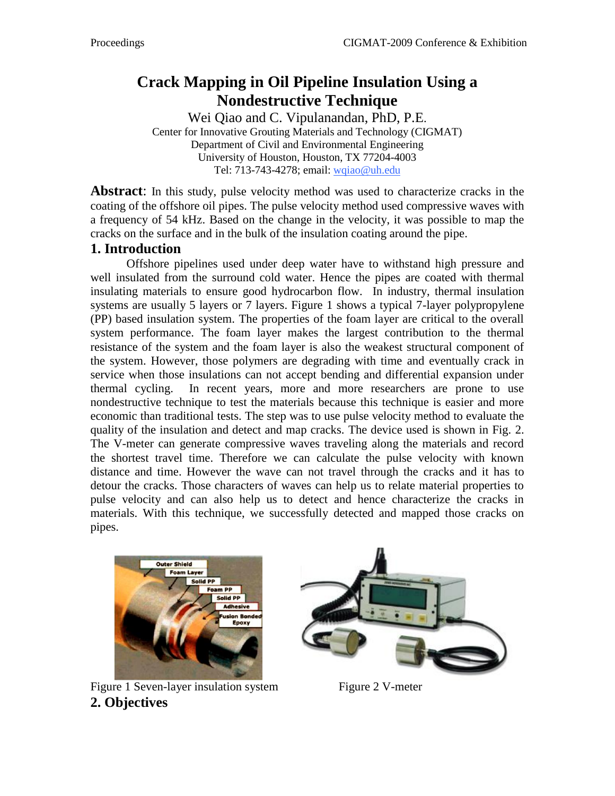# **Crack Mapping in Oil Pipeline Insulation Using a Nondestructive Technique**

Wei Qiao and C. Vipulanandan, PhD, P.E. Center for Innovative Grouting Materials and Technology (CIGMAT) Department of Civil and Environmental Engineering University of Houston, Houston, TX 77204-4003 Tel: 713-743-4278; email: wqiao@uh.edu

**Abstract:** In this study, pulse velocity method was used to characterize cracks in the coating of the offshore oil pipes. The pulse velocity method used compressive waves with a frequency of 54 kHz. Based on the change in the velocity, it was possible to map the cracks on the surface and in the bulk of the insulation coating around the pipe.

#### **1. Introduction**

Offshore pipelines used under deep water have to withstand high pressure and well insulated from the surround cold water. Hence the pipes are coated with thermal insulating materials to ensure good hydrocarbon flow. In industry, thermal insulation systems are usually 5 layers or 7 layers. Figure 1 shows a typical 7-layer polypropylene (PP) based insulation system. The properties of the foam layer are critical to the overall system performance. The foam layer makes the largest contribution to the thermal resistance of the system and the foam layer is also the weakest structural component of the system. However, those polymers are degrading with time and eventually crack in service when those insulations can not accept bending and differential expansion under thermal cycling. In recent years, more and more researchers are prone to use nondestructive technique to test the materials because this technique is easier and more economic than traditional tests. The step was to use pulse velocity method to evaluate the quality of the insulation and detect and map cracks. The device used is shown in Fig. 2. The V-meter can generate compressive waves traveling along the materials and record the shortest travel time. Therefore we can calculate the pulse velocity with known distance and time. However the wave can not travel through the cracks and it has to detour the cracks. Those characters of waves can help us to relate material properties to pulse velocity and can also help us to detect and hence characterize the cracks in materials. With this technique, we successfully detected and mapped those cracks on pipes.



Figure 1 Seven-layer insulation system Figure 2 V-meter **2. Objectives**